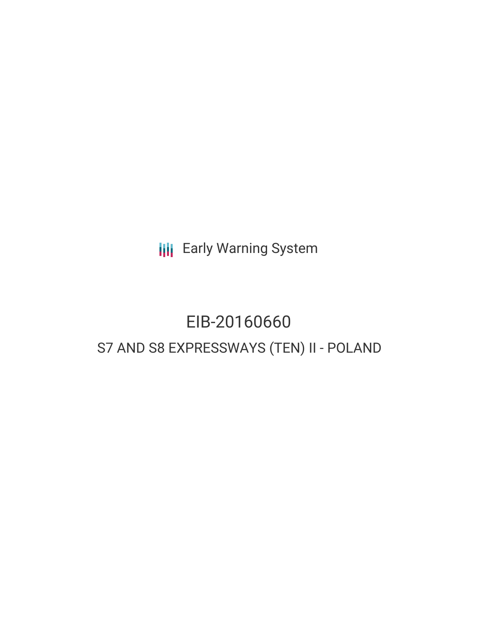**III** Early Warning System

# EIB-20160660 S7 AND S8 EXPRESSWAYS (TEN) II - POLAND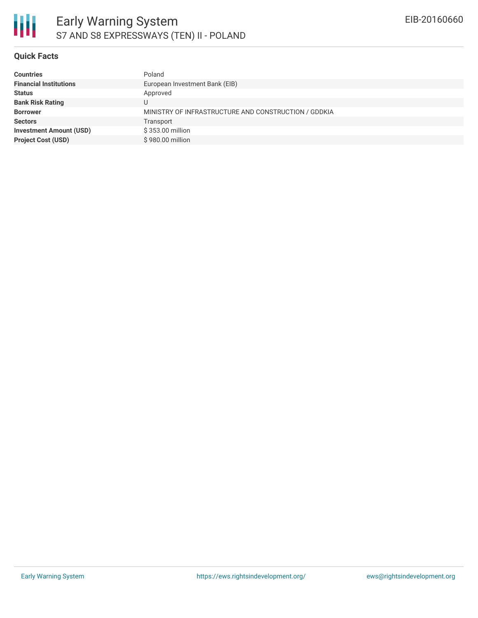

### **Quick Facts**

| <b>Countries</b>               | Poland                                               |
|--------------------------------|------------------------------------------------------|
| <b>Financial Institutions</b>  | European Investment Bank (EIB)                       |
| <b>Status</b>                  | Approved                                             |
| <b>Bank Risk Rating</b>        |                                                      |
| <b>Borrower</b>                | MINISTRY OF INFRASTRUCTURE AND CONSTRUCTION / GDDKIA |
| <b>Sectors</b>                 | Transport                                            |
| <b>Investment Amount (USD)</b> | \$353.00 million                                     |
| <b>Project Cost (USD)</b>      | \$980.00 million                                     |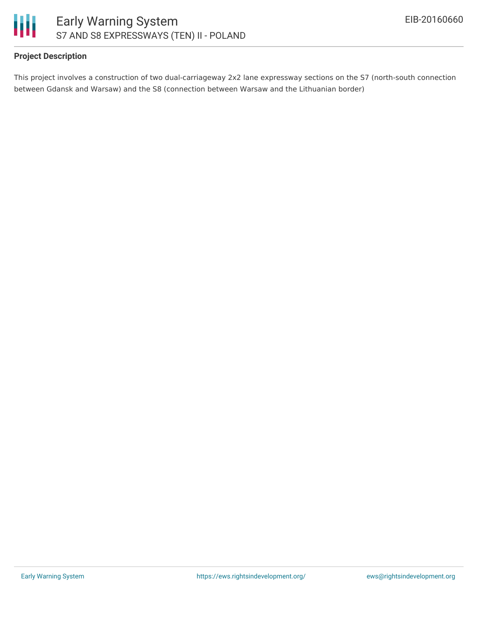

## **Project Description**

This project involves a construction of two dual-carriageway 2x2 lane expressway sections on the S7 (north-south connection between Gdansk and Warsaw) and the S8 (connection between Warsaw and the Lithuanian border)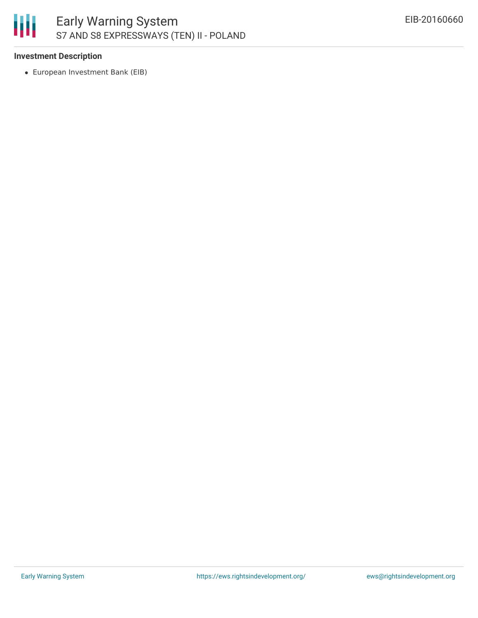

## **Investment Description**

European Investment Bank (EIB)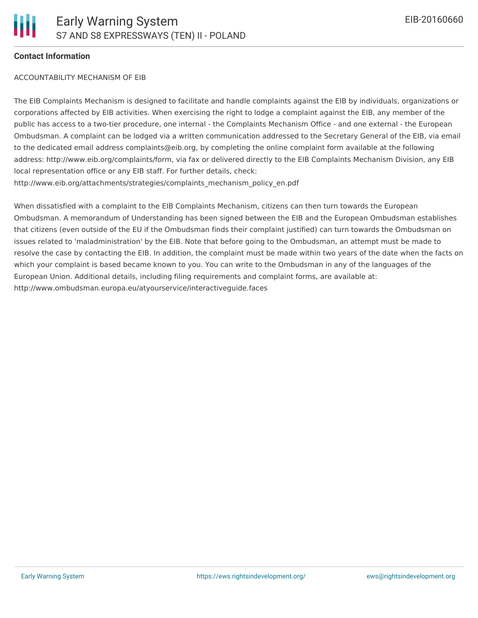### **Contact Information**

#### ACCOUNTABILITY MECHANISM OF EIB

The EIB Complaints Mechanism is designed to facilitate and handle complaints against the EIB by individuals, organizations or corporations affected by EIB activities. When exercising the right to lodge a complaint against the EIB, any member of the public has access to a two-tier procedure, one internal - the Complaints Mechanism Office - and one external - the European Ombudsman. A complaint can be lodged via a written communication addressed to the Secretary General of the EIB, via email to the dedicated email address complaints@eib.org, by completing the online complaint form available at the following address: http://www.eib.org/complaints/form, via fax or delivered directly to the EIB Complaints Mechanism Division, any EIB local representation office or any EIB staff. For further details, check: http://www.eib.org/attachments/strategies/complaints\_mechanism\_policy\_en.pdf

When dissatisfied with a complaint to the EIB Complaints Mechanism, citizens can then turn towards the European Ombudsman. A memorandum of Understanding has been signed between the EIB and the European Ombudsman establishes that citizens (even outside of the EU if the Ombudsman finds their complaint justified) can turn towards the Ombudsman on issues related to 'maladministration' by the EIB. Note that before going to the Ombudsman, an attempt must be made to resolve the case by contacting the EIB. In addition, the complaint must be made within two years of the date when the facts on which your complaint is based became known to you. You can write to the Ombudsman in any of the languages of the European Union. Additional details, including filing requirements and complaint forms, are available at: http://www.ombudsman.europa.eu/atyourservice/interactiveguide.faces